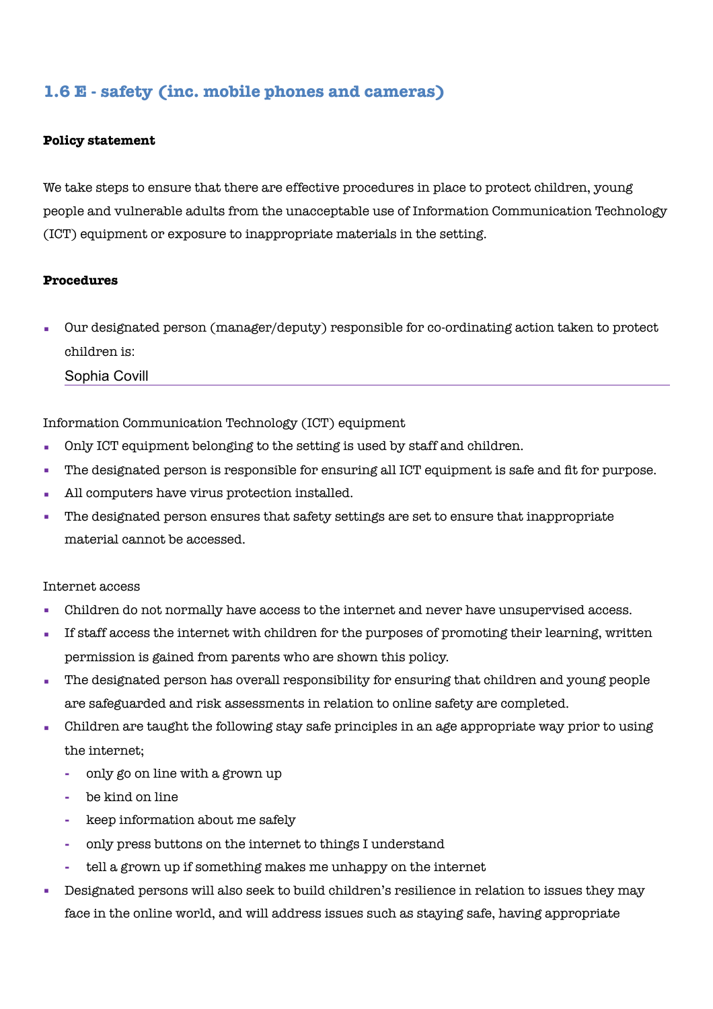# **1.6 E - safety (inc. mobile phones and cameras)**

#### **Policy statement**

We take steps to ensure that there are effective procedures in place to protect children, young people and vulnerable adults from the unacceptable use of Information Communication Technology (ICT) equipment or exposure to inappropriate materials in the setting.

#### **Procedures**

Our designated person (manager/deputy) responsible for co-ordinating action taken to protect children is:

Sophia Covill

Information Communication Technology (ICT) equipment

- Only ICT equipment belonging to the setting is used by staff and children.
- The designated person is responsible for ensuring all ICT equipment is safe and fit for purpose.
- All computers have virus protection installed.
- The designated person ensures that safety settings are set to ensure that inappropriate material cannot be accessed.

#### Internet access

- Children do not normally have access to the internet and never have unsupervised access.
- If staff access the internet with children for the purposes of promoting their learning, written permission is gained from parents who are shown this policy.
- The designated person has overall responsibility for ensuring that children and young people are safeguarded and risk assessments in relation to online safety are completed.
- Children are taught the following stay safe principles in an age appropriate way prior to using the internet;
	- **-** only go on line with a grown up
	- **-** be kind on line
	- **-** keep information about me safely
	- **-** only press buttons on the internet to things I understand
	- **-** tell a grown up if something makes me unhappy on the internet
- Designated persons will also seek to build children's resilience in relation to issues they may face in the online world, and will address issues such as staying safe, having appropriate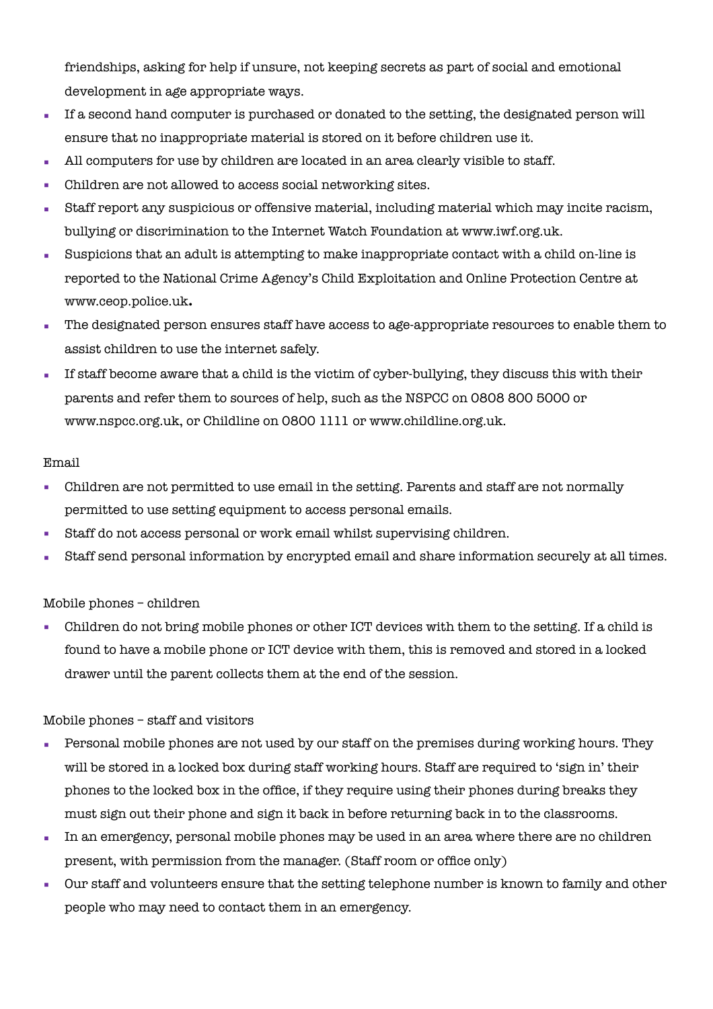friendships, asking for help if unsure, not keeping secrets as part of social and emotional development in age appropriate ways.

- If a second hand computer is purchased or donated to the setting, the designated person will ensure that no inappropriate material is stored on it before children use it.
- All computers for use by children are located in an area clearly visible to staff.
- Children are not allowed to access social networking sites.
- Staff report any suspicious or offensive material, including material which may incite racism, bullying or discrimination to the Internet Watch Foundation at [www.iwf.org.uk](http://www.iwf.org.uk/).
- Suspicions that an adult is attempting to make inappropriate contact with a child on-line is reported to the National Crime Agency's Child Exploitation and Online Protection Centre at [www.ceop.police.uk](http://www.ceop.police.uk/)**.**
- The designated person ensures staff have access to age-appropriate resources to enable them to assist children to use the internet safely.
- If staff become aware that a child is the victim of cyber-bullying, they discuss this with their parents and refer them to sources of help, such as the NSPCC on 0808 800 5000 or www.nspcc.org.uk, or Childline on 0800 1111 or www.childline.org.uk.

# Email

- Children are not permitted to use email in the setting. Parents and staff are not normally permitted to use setting equipment to access personal emails.
- Staff do not access personal or work email whilst supervising children.
- Staff send personal information by encrypted email and share information securely at all times.

# Mobile phones – children

▪ Children do not bring mobile phones or other ICT devices with them to the setting. If a child is found to have a mobile phone or ICT device with them, this is removed and stored in a locked drawer until the parent collects them at the end of the session.

# Mobile phones – staff and visitors

- Personal mobile phones are not used by our staff on the premises during working hours. They will be stored in a locked box during staff working hours. Staff are required to 'sign in' their phones to the locked box in the office, if they require using their phones during breaks they must sign out their phone and sign it back in before returning back in to the classrooms.
- In an emergency, personal mobile phones may be used in an area where there are no children present, with permission from the manager. (Staff room or office only)
- Our staff and volunteers ensure that the setting telephone number is known to family and other people who may need to contact them in an emergency.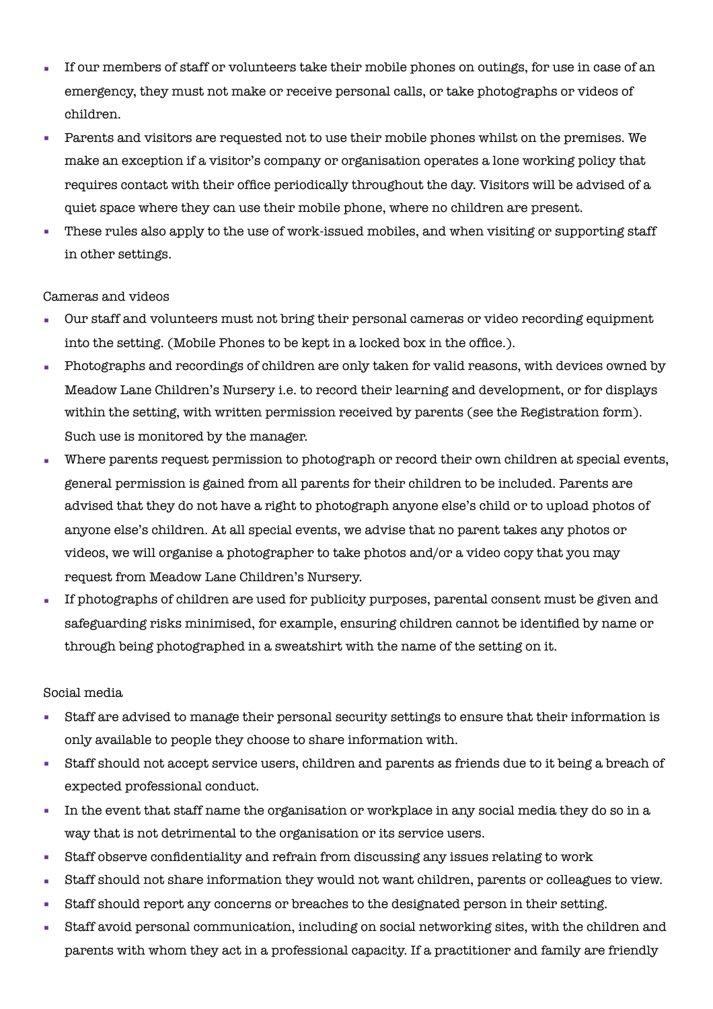- If our members of staff or volunteers take their mobile phones on outings, for use in case of an emergency, they must not make or receive personal calls, or take photographs or videos of children.
- Parents and visitors are requested not to use their mobile phones whilst on the premises. We make an exception if a visitor's company or organisation operates a lone working policy that requires contact with their office periodically throughout the day. Visitors will be advised of a quiet space where they can use their mobile phone, where no children are present.
- These rules also apply to the use of work-issued mobiles, and when visiting or supporting staff in other settings.

# Cameras and videos

- Our staff and volunteers must not bring their personal cameras or video recording equipment into the setting. (Mobile Phones to be kept in a locked box in the office.).
- Photographs and recordings of children are only taken for valid reasons, with devices owned by Meadow Lane Children's Nursery i.e. to record their learning and development, or for displays within the setting, with written permission received by parents (see the Registration form). Such use is monitored by the manager.
- Where parents request permission to photograph or record their own children at special events, general permission is gained from all parents for their children to be included. Parents are advised that they do not have a right to photograph anyone else's child or to upload photos of anyone else's children. At all special events, we advise that no parent takes any photos or videos, we will organise a photographer to take photos and/or a video copy that you may request from Meadow Lane Children's Nursery.
- If photographs of children are used for publicity purposes, parental consent must be given and safeguarding risks minimised, for example, ensuring children cannot be identified by name or through being photographed in a sweatshirt with the name of the setting on it.

# Social media

- Staff are advised to manage their personal security settings to ensure that their information is only available to people they choose to share information with.
- Staff should not accept service users, children and parents as friends due to it being a breach of expected professional conduct.
- In the event that staff name the organisation or workplace in any social media they do so in a way that is not detrimental to the organisation or its service users.
- Staff observe confidentiality and refrain from discussing any issues relating to work
- Staff should not share information they would not want children, parents or colleagues to view.
- Staff should report any concerns or breaches to the designated person in their setting.
- Staff avoid personal communication, including on social networking sites, with the children and parents with whom they act in a professional capacity. If a practitioner and family are friendly